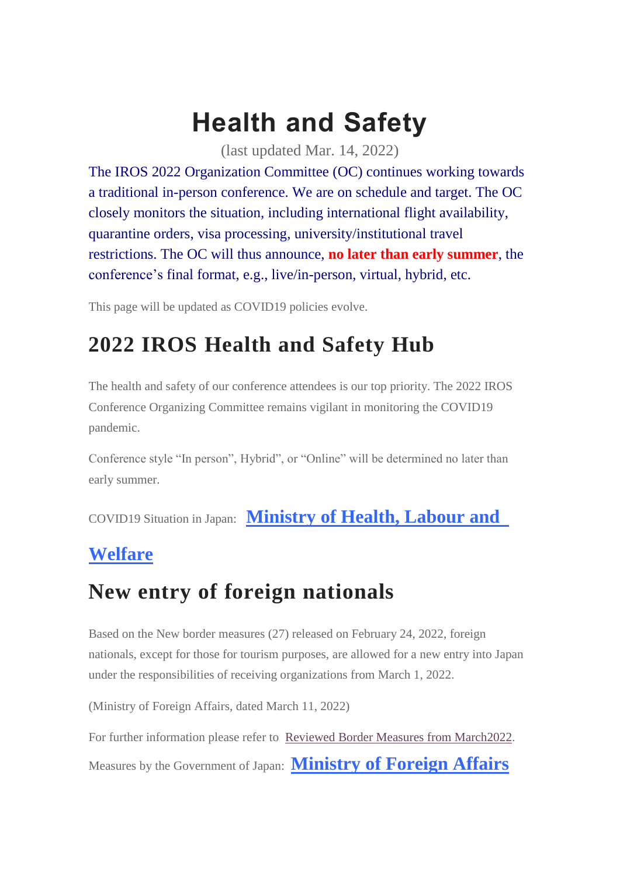# **Health and Safety**

(last updated Mar. 14, 2022)

The IROS 2022 Organization Committee (OC) continues working towards a traditional in-person conference. We are on schedule and target. The OC closely monitors the situation, including international flight availability, quarantine orders, visa processing, university/institutional travel restrictions. The OC will thus announce, **no later than early summer**, the conference's final format, e.g., live/in-person, virtual, hybrid, etc.

This page will be updated as COVID19 policies evolve.

## **2022 IROS Health and Safety Hub**

The health and safety of our conference attendees is our top priority. The 2022 IROS Conference Organizing Committee remains vigilant in monitoring the COVID19 pandemic.

Conference style "In person", Hybrid", or "Online" will be determined no later than early summer.

COVID19 Situation in Japan: **[Ministry](https://www.mhlw.go.jp/stf/covid-19/kokunainohasseijoukyou_00006.html#h2_1) of Health, Labour and**

#### **[Welfare](https://www.mhlw.go.jp/stf/covid-19/kokunainohasseijoukyou_00006.html#h2_1)**

### **New entry of foreign nationals**

Based on the New border measures (27) released on February 24, 2022, foreign nationals, except for those for tourism purposes, are allowed for a new entry into Japan under the responsibilities of receiving organizations from March 1, 2022.

(Ministry of Foreign Affairs, dated March 11, 2022)

For further information please refer to Reviewed Border Measures from [March2022.](https://www.mofa.go.jp/ca/cp/page22e_000925.html#:~:text=in%20Japanese)%20(PDF)-,1.%20Reviewed%20border%20measures%20from%20March%202022,-Based%20on%20the)

Measures by the Government of Japan: **[Ministry](https://www.mofa.go.jp/ca/fna/page4e_001053.html) of Foreign Affairs**